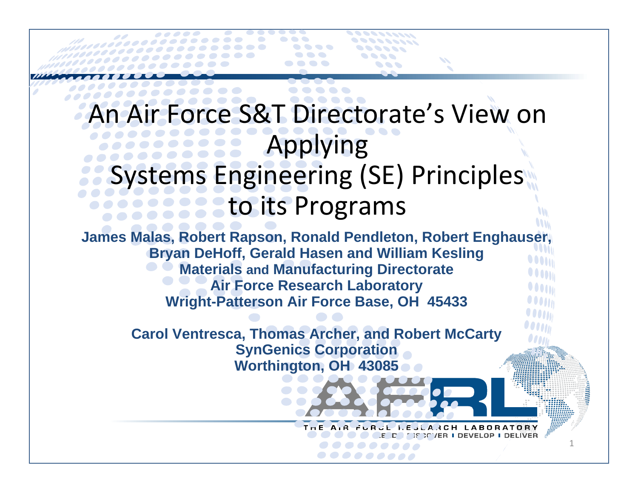### An Air Force S&T Directorate's View on Applying Systems Engineering (SE) Principles to its Programs

**James Malas, Robert Rapson, Ronald Pendleton, Robert Enghauser, Bryan DeHoff, Gerald Hasen and William Kesling Materials and Manufacturing Directorate Air Force Research Laboratory Wright-Patterson Air Force Base, OH 45433**

> **Carol Ventresca, Thomas Archer, and Robert McCarty SynGenics Corporation Worthington, OH 43085**

> > $T - E$

1

A 3 C H

**IF IT YER I DEVELOP** 

**LABO**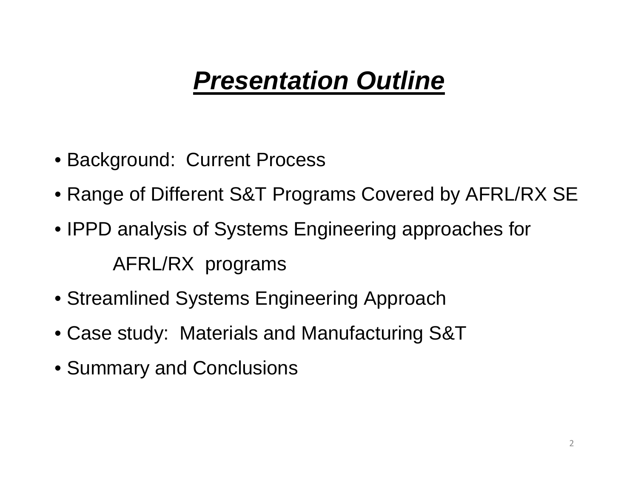# *Presentation Outline*

- Background: Current Process
- Range of Different S&T Programs Covered by AFRL/RX SE
- IPPD analysis of Systems Engineering approaches for AFRL/RX programs
- Streamlined Systems Engineering Approach
- Case study: Materials and Manufacturing S&T
- Summary and Conclusions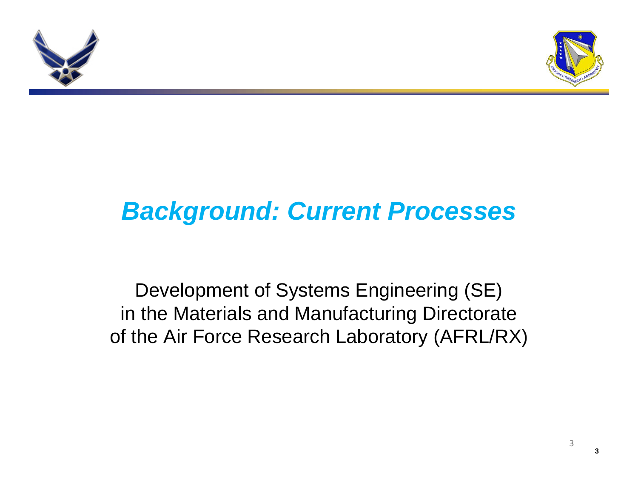



# *Background: Current Processes*

Development of Systems Engineering (SE) in the Materials and Manufacturing Directorate of the Air Force Research Laboratory (AFRL/RX)

3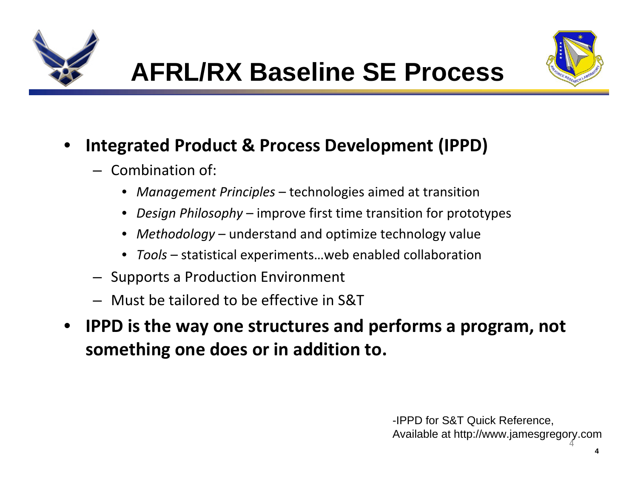



#### •**Integrated Product & Process Development (IPPD)**

- Combination of:
	- •*Management Principles* – technologies aimed at transition
	- •*Design Philosophy* – improve first time transition for prototypes
	- *Methodology* understand and optimize technology value
	- *Tools* statistical experiments…web enabled collaboration
- Supports a Production Environment
- –Must be tailored to be effective in S&T
- **IPPD is the way one structures and performs a program, not something one does or in addition to.**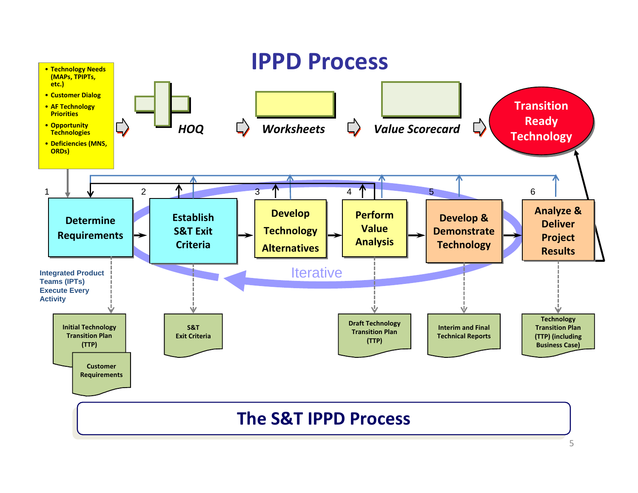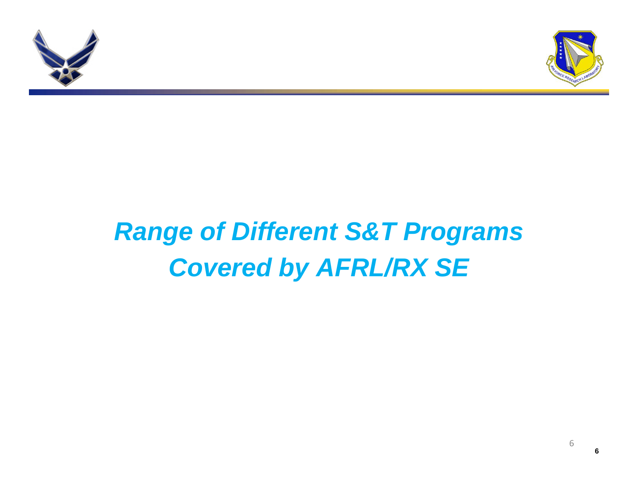



# *Range of Different S&T Programs Covered by AFRL/RX SE*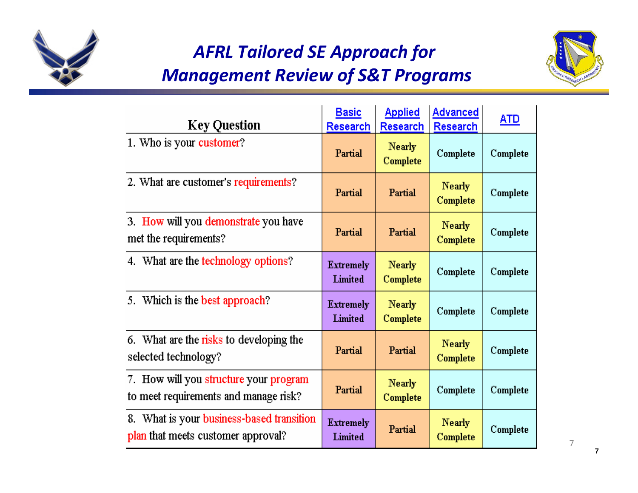

### *AFRL Tailored SE Approach for Management Review of S&T Programs*



| <b>Key Question</b>                                                             | Basic<br><b>Research</b>    | <b>Applied</b><br>Research | <b>Advanced</b><br><b>Research</b> | <u>ATD</u> |
|---------------------------------------------------------------------------------|-----------------------------|----------------------------|------------------------------------|------------|
| 1. Who is your customer?                                                        | Partial                     | <b>Nearly</b><br>Complete  | Complete                           | Complete   |
| 2. What are customer's requirements?                                            | Partial                     | Partial                    | <b>Nearly</b><br>Complete          | Complete   |
| 3. How will you demonstrate you have<br>met the requirements?                   | Partial                     | Partial                    | <b>Nearly</b><br>Complete          | Complete   |
| 4. What are the technology options?                                             | <b>Extremely</b><br>Limited | <b>Nearly</b><br>Complete  | Complete                           | Complete   |
| 5. Which is the best approach?                                                  | <b>Extremely</b><br>Limited | <b>Nearly</b><br>Complete  | Complete                           | Complete   |
| 6. What are the risks to developing the<br>selected technology?                 | Partial                     | Partial                    | <b>Nearly</b><br>Complete          | Complete   |
| 7. How will you structure your program<br>to meet requirements and manage risk? | Partial                     | <b>Nearly</b><br>Complete  | Complete                           | Complete   |
| 8. What is your business-based transition<br>plan that meets customer approval? | <b>Extremely</b><br>Limited | Partial                    | <b>Nearly</b><br>Complete          | Complete   |

7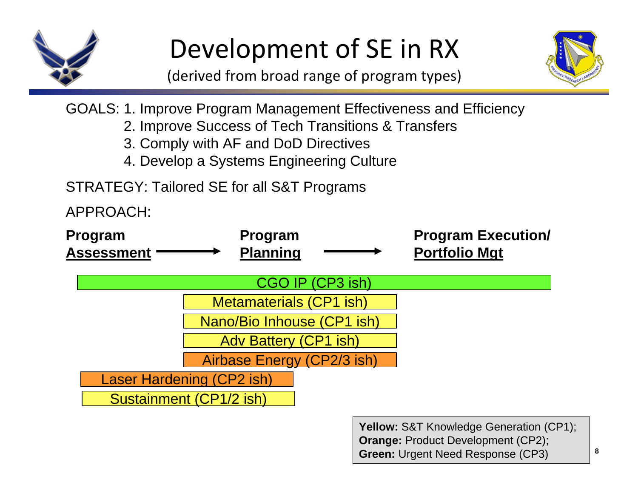

# Development of SE in RX

(derived from broad range of program types)



GOALS: 1. Improve Program Management Effectiveness and Efficiency

- 2. Improve Success of Tech Transitions & Transfers
- 3. Comply with AF and DoD Directives
- 4. Develop a Systems Engineering Culture

STRATEGY: Tailored SE for all S&T Programs

APPROACH:



**Yellow:** S&T Knowledge Generation (CP1); **Orange:** Product Development (CP2); **Green:** Urgent Need Response (CP3)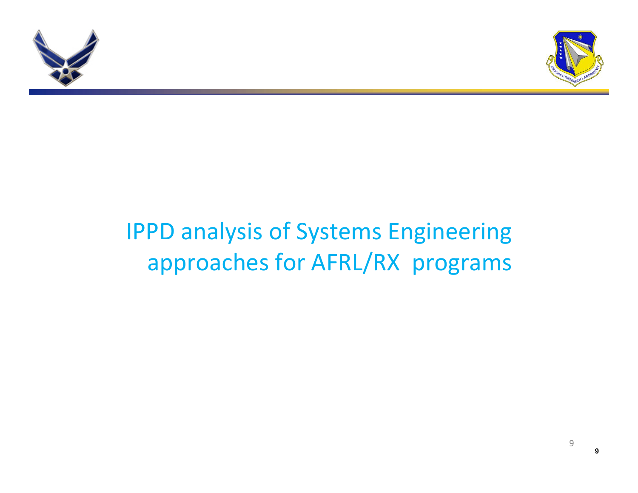



## IPPD analysis of Systems Engineering approaches for AFRL/RX programs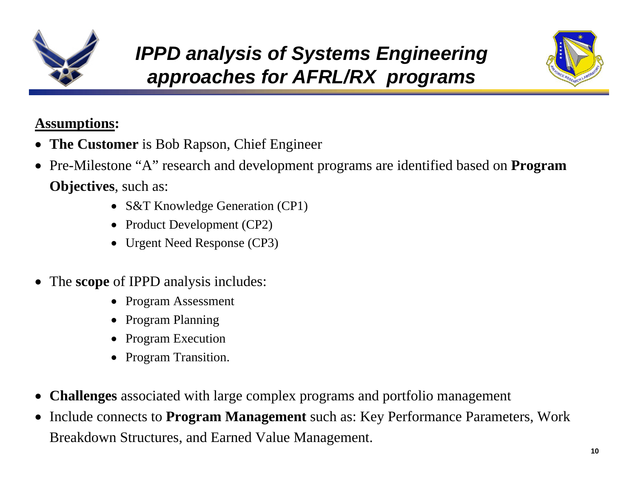



#### **Assumptions:**

- **The Customer** is Bob Rapson, Chief Engineer
- Pre-Milestone "A" research and development programs are identified based on **Program Objectives**, such as:
	- S&T Knowledge Generation (CP1)
	- Product Development (CP2)
	- Urgent Need Response (CP3)
- The **scope** of IPPD analysis includes:
	- Program Assessment
	- •Program Planning
	- Program Execution
	- Program Transition.
- **Challenges** associated with large complex programs and portfolio management
- Include connects to **Program Management** such as: Key Performance Parameters, Work Breakdown Structures, and Earned Value Management.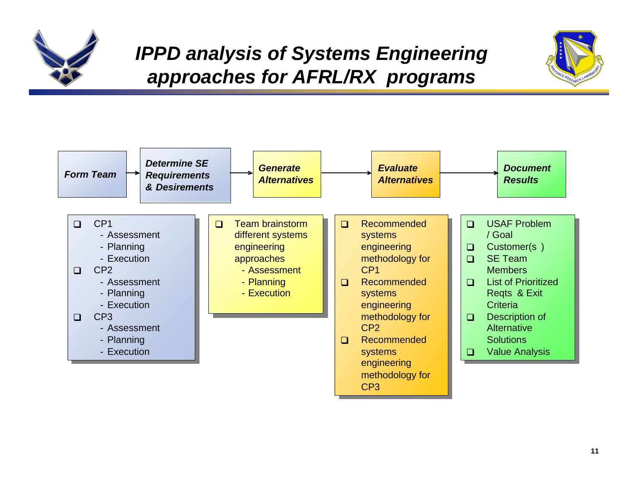

### *IPPD analysis of Systems Engineering approaches for AFRL/RX programs*



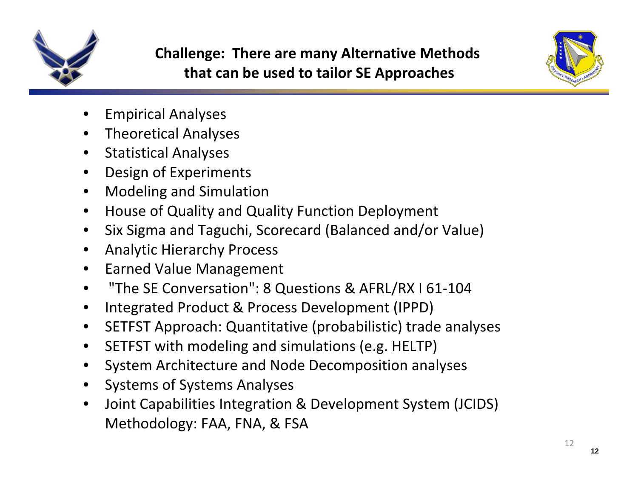



- •Empirical Analyses
- •Theoretical Analyses
- •Statistical Analyses
- $\bullet$ Design of Experiments
- •Modeling and Simulation
- •**•** House of Quality and Quality Function Deployment
- •• Six Sigma and Taguchi, Scorecard (Balanced and/or Value)
- •Analytic Hierarchy Process
- •**•** Earned Value Management
- •"The SE Conversation": 8 Questions & AFRL/RX I 61‐104
- •Integrated Product & Process Development (IPPD)
- •SETFST Approach: Quantitative (probabilistic) trade analyses
- $\bullet$ • SETFST with modeling and simulations (e.g. HELTP)
- $\bullet$ System Architecture and Node Decomposition analyses
- •Systems of Systems Analyses
- • Joint Capabilities Integration & Development System (JCIDS) Methodology: FAA, FNA, & FSA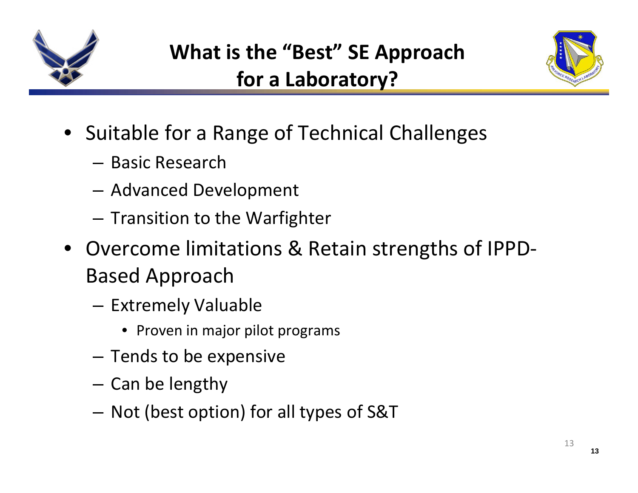



- Suitable for <sup>a</sup> Range of Technical Challenges
	- Basic Research
	- –Advanced Development
	- – $-$  Transition to the Warfighter
- Overcome limitations & Retain strengths of IPPD‐ Based Approach
	- **Links of the Common** — Extremely Valuable
		- Proven in major pilot programs
	- – $-$  Tends to be expensive
	- – $-$  Can be lengthy
	- – $-$  Not (best option) for all types of S&T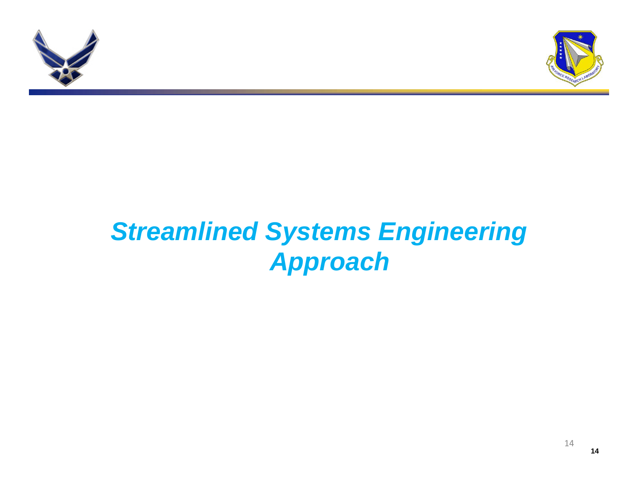



# *Streamlined Systems Engineering Approach*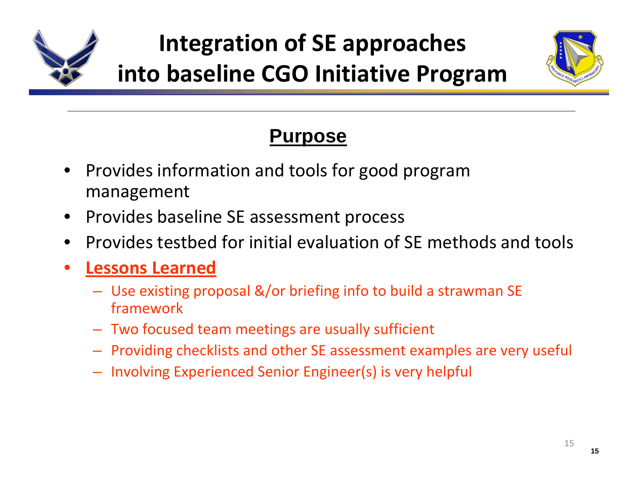

# **Integration of SE approaches into baseline CGO Initiative Program**



### **Purpose**

- Provides information and tools for good program management
- Provides baseline SE assessment process
- •• Provides testbed for initial evaluation of SE methods and tools
- • **Lessons Learned**
	- Use existing proposal &/or briefing info to build <sup>a</sup> strawman SE framework
	- Two focused team meetings are usually sufficient
	- Providing checklists and other SE assessment examples are very useful
	- Involving Experienced Senior Engineer(s) is very helpful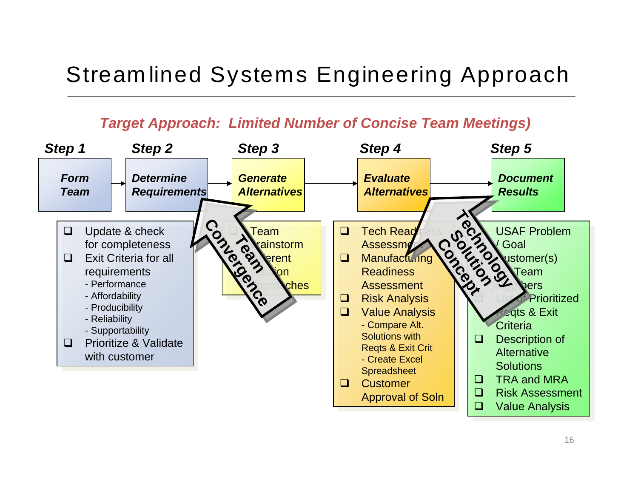### Stream lined Systems Engineering Approach

#### *Target Approach: Limited Number of Concise Team Meetings)*

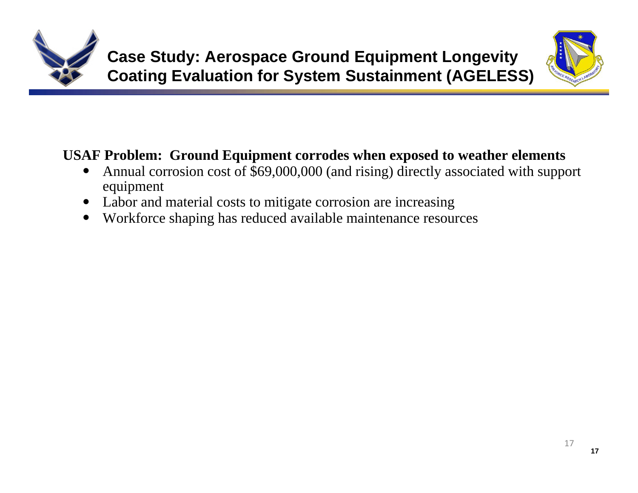



### **USAF Problem: Ground Equipment corrodes when exposed to weather elements**

- • Annual corrosion cost of \$69,000,000 (and rising) directly associated with support equipment
- Labor and material costs to mitigate corrosion are increasing
- •Workforce shaping has reduced available maintenance resources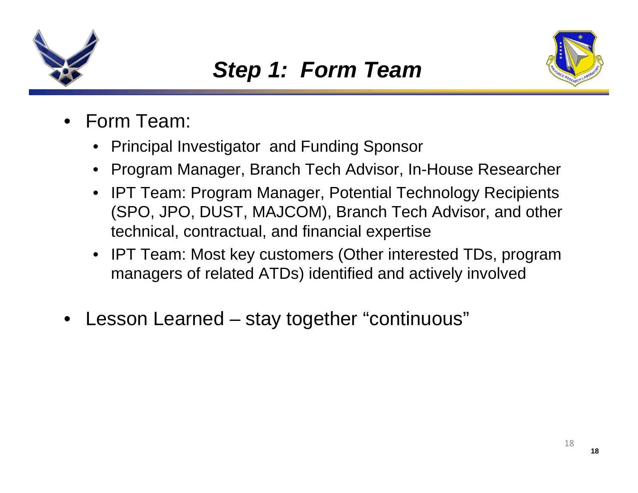



- • Form Team:
	- •Principal Investigator and Funding Sponsor
	- •Program Manager, Branch Tech Advisor, In-House Researcher
	- • IPT Team: Program Manager, Potential Technology Recipients (SPO, JPO, DUST, MAJCOM), Branch Tech Advisor, and other technical, contractual, and financial expertise
	- IPT Team: Most key customers (Other interested TDs, program managers of related ATDs) identified and actively involved
- •Lesson Learned – stay together "continuous"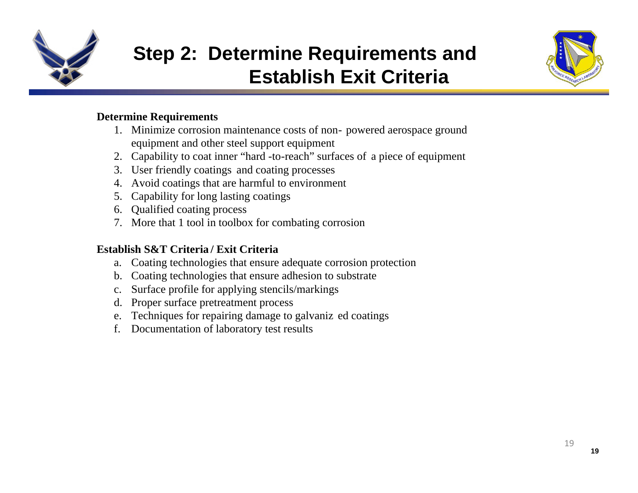

### **Step 2: Determine Requirements and Establish Exit Criteria**



#### **Determine Requirements**

- 1. Minimize corrosion maintenance costs of non- powered aerospace ground equipment and other steel support equipment
- 2. Capability to coat inner "hard -to-reach" surfaces of a piece of equipment
- 3. User friendly coatings and coating processes
- 4. Avoid coatings that are harmful to environment
- 5. Capability for long lasting coatings
- 6. Qualified coating process
- 7. More that 1 tool in toolbox for combating corrosion

#### **Establish S&T Criteria / Exit Criteria**

- a. Coating technologies that ensure adequate corrosion protection
- b. Coating technologies that ensure adhesion to substrate
- c. Surface profile for applying stencils/markings
- d. Proper surface pretreatment process
- e. Techniques for repairing damage to galvaniz ed coatings
- f. Documentation of laboratory test results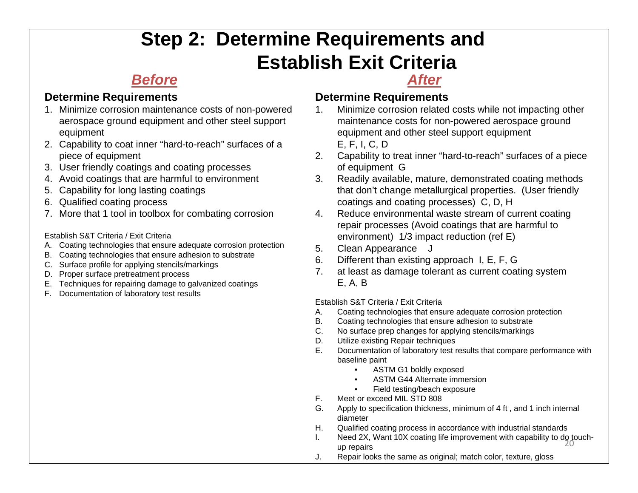### **Step 2: Determine Requirements and Establish Exit Criteria**

### *Before*

#### **Determine Requirements**

- 1. Minimize corrosion maintenance costs of non-powered aerospace ground equipment and other steel support equipment
- 2. Capability to coat inner "hard-to-reach" surfaces of a piece of equipment
- 3. User friendly coatings and coating processes
- 4. Avoid coatings that are harmful to environment
- 5. Capability for long lasting coatings
- 6. Qualified coating process
- 7. More that 1 tool in toolbox for combating corrosion

Establish S&T Criteria / Exit Criteria

- A. Coating technologies that ensure adequate corrosion protection
- B. Coating technologies that ensure adhesion to substrate
- C. Surface profile for applying stencils/markings
- D. Proper surface pretreatment process
- E. Techniques for repairing damage to galvanized coatings
- F. Documentation of laboratory test results

#### *After*

#### **Determine Requirements**

- 1. Minimize corrosion related costs while not impacting other maintenance costs for non-powered aerospace ground equipment and other steel support equipment E, F, I, C, D
- 2. Capability to treat inner "hard-to-reach" surfaces of a piece of equipment G
- 3. Readily available, mature, demonstrated coating methods that don't change metallurgical properties. (User friendly coatings and coating processes) C, D, H
- 4. Reduce environmental waste stream of current coating repair processes (Avoid coatings that are harmful to environment) 1/3 impact reduction (ref E)
- 5. Clean Appearance J
- 6. Different than existing approach I, E, F, G
- 7. at least as damage tolerant as current coating system E, A, B

Establish S&T Criteria / Exit Criteria

- A. Coating technologies that ensure adequate corrosion protection
- B. Coating technologies that ensure adhesion to substrate
- C. No surface prep changes for applying stencils/markings
- D. Utilize existing Repair techniques
- E. Documentation of laboratory test results that compare performance with baseline paint
	- •ASTM G1 boldly exposed
	- •ASTM G44 Alternate immersion
	- •Field testing/beach exposure
- F. Meet or exceed MIL STD 808
- G. Apply to specification thickness, minimum of 4 ft , and 1 inch internal diameter
- H. Qualified coating process in accordance with industrial standards
- I. Need 2X, Want 10X coating life improvement with capability to do touch-<br> $\frac{20}{20}$ up repairs
- J. Repair looks the same as original; match color, texture, gloss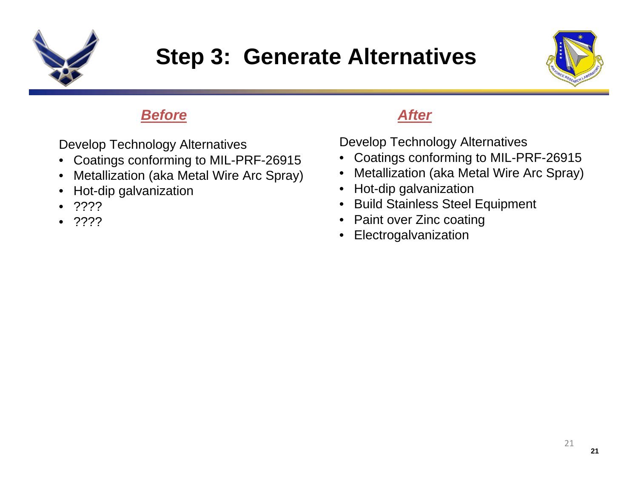

### **Step 3: Generate Alternatives**



#### *Before*

Develop Technology Alternatives

- •Coatings conforming to MIL-PRF-26915
- •Metallization (aka Metal Wire Arc Spray)
- •Hot-dip galvanization
- •????
- •????

### *After*

Develop Technology Alternatives

- •Coatings conforming to MIL-PRF-26915
- $\bullet$ Metallization (aka Metal Wire Arc Spray)
- •Hot-dip galvanization
- •Build Stainless Steel Equipment
- Paint over Zinc coating
- •Electrogalvanization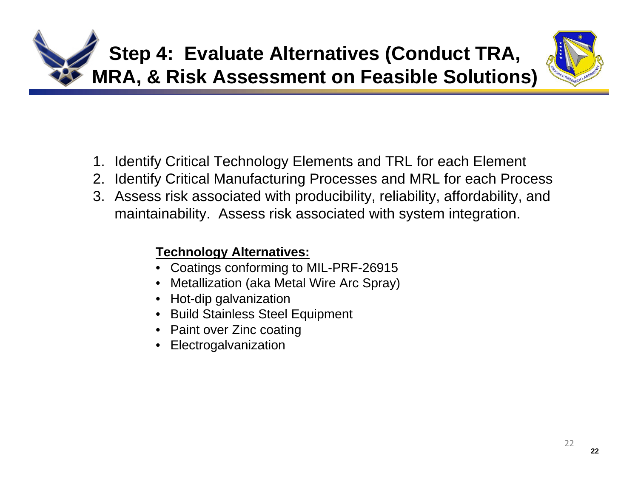



- 1. Identify Critical Technology Elements and TRL for each Element
- 2. Identify Critical Manufacturing Processes and MRL for each Process
- 3. Assess risk associated with producibility, reliability, affordability, and maintainability. Assess risk associated with system integration.

#### **Technology Alternatives:**

- •Coatings conforming to MIL-PRF-26915
- •Metallization (aka Metal Wire Arc Spray)
- •Hot-dip galvanization
- Build Stainless Steel Equipment
- Paint over Zinc coating
- Electrogalvanization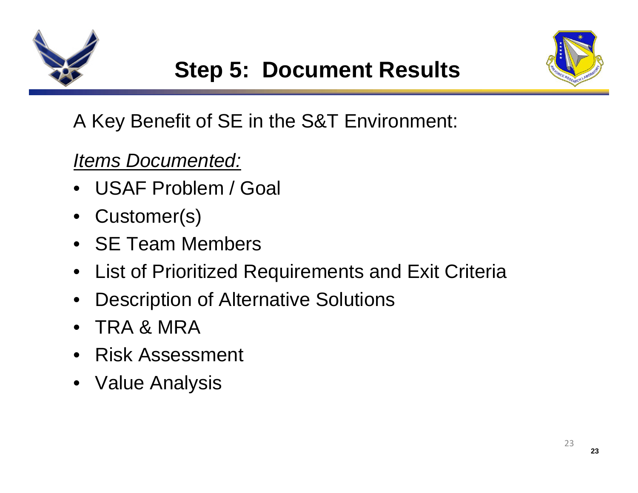



### A Key Benefit of SE in the S&T Environment:

### *Items Documented:*

- USAF Problem / Goal
- •Customer(s)
- SE Team Members
- •List of Prioritized Requirements and Exit Criteria
- •Description of Alternative Solutions
- •TRA & MRA
- Risk Assessment
- Value Analysis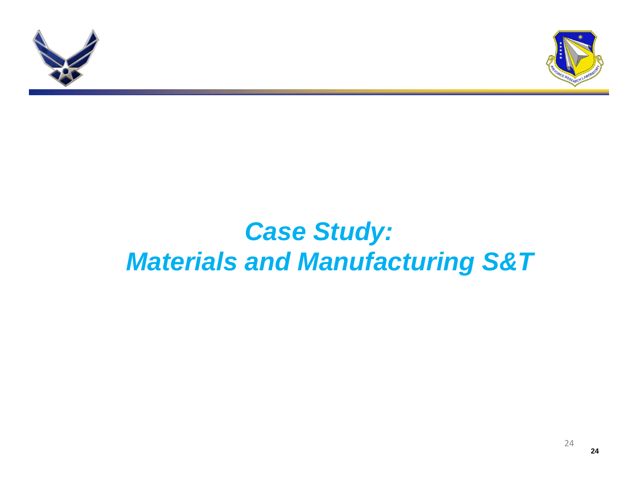



## *Case Study: Materials and Manufacturing S&T*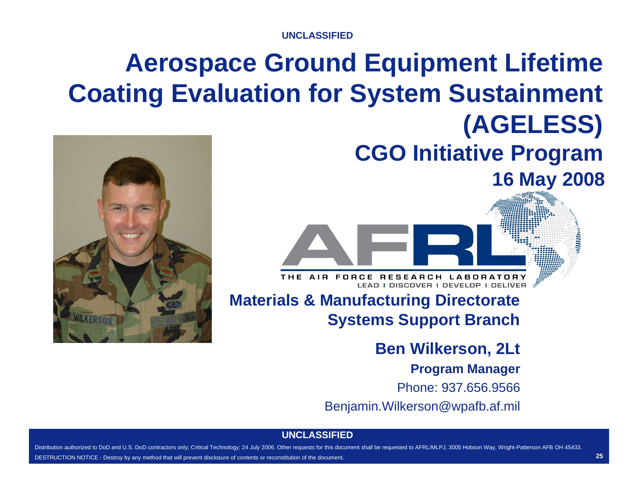**UNCLASSIFIED**

# **Aerospace Ground Equipment Lifetime Coating Evaluation for System Sustainment (AGELESS)**



**CGO Initiative Program 16 May 2008**

THE AIR FORCE RESEARCH LABORATORY LEAD I DISCOVER I DEVELOP I DELIVER

### **Materials & Manufacturing Directorate Systems Support Branch**

**Ben Wilkerson, 2Lt**

#### **Program Manager**

Phone: 937.656.9566

Benjamin.Wilkerson@wpafb.af.mil

#### **UNCLASSIFIED**

25 Distribution authorized to DoD and U.S. DoD contractors only; Critical Technology; 24 July 2006. Other requests for this document shall be requested to AFRL/MLPJ, 3005 Hobson Way, Wright-Patterson AFB OH 45433. DESTRUCTION NOTICE - Destroy by any method that will prevent disclosure of contents or reconstitution of the document.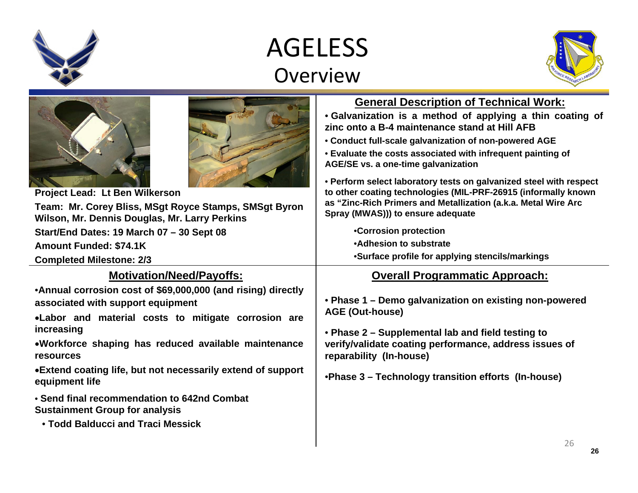### AGELESS Overview



| Project Lead: Lt Ben Wilkerson<br>Team: Mr. Corey Bliss, MSgt Royce Stamps, SMSgt Byron<br>Wilson, Mr. Dennis Douglas, Mr. Larry Perkins<br>Start/End Dates: 19 March 07 - 30 Sept 08<br><b>Amount Funded: \$74.1K</b><br><b>Completed Milestone: 2/3</b><br><b>Motivation/Need/Payoffs:</b><br>•Annual corrosion cost of \$69,000,000 (and rising) directly<br>associated with support equipment<br>.Labor and material costs to mitigate corrosion are<br>increasing<br>.Workforce shaping has reduced available maintenance<br>resources<br>• Extend coating life, but not necessarily extend of support | <b>General Description of Technical Work:</b><br>• Galvanization is a method of applying a thin coating of<br>zinc onto a B-4 maintenance stand at Hill AFB<br>• Conduct full-scale galvanization of non-powered AGE<br>• Evaluate the costs associated with infrequent painting of<br>AGE/SE vs. a one-time galvanization<br>• Perform select laboratory tests on galvanized steel with respect<br>to other coating technologies (MIL-PRF-26915 (informally known<br>as "Zinc-Rich Primers and Metallization (a.k.a. Metal Wire Arc<br>Spray (MWAS))) to ensure adequate<br>•Corrosion protection<br>•Adhesion to substrate<br>•Surface profile for applying stencils/markings<br><b>Overall Programmatic Approach:</b><br>• Phase 1 - Demo galvanization on existing non-powered<br><b>AGE (Out-house)</b><br>• Phase 2 – Supplemental lab and field testing to<br>verify/validate coating performance, address issues of<br>reparability (In-house) |
|-------------------------------------------------------------------------------------------------------------------------------------------------------------------------------------------------------------------------------------------------------------------------------------------------------------------------------------------------------------------------------------------------------------------------------------------------------------------------------------------------------------------------------------------------------------------------------------------------------------|--------------------------------------------------------------------------------------------------------------------------------------------------------------------------------------------------------------------------------------------------------------------------------------------------------------------------------------------------------------------------------------------------------------------------------------------------------------------------------------------------------------------------------------------------------------------------------------------------------------------------------------------------------------------------------------------------------------------------------------------------------------------------------------------------------------------------------------------------------------------------------------------------------------------------------------------------------|
| equipment life                                                                                                                                                                                                                                                                                                                                                                                                                                                                                                                                                                                              | .Phase 3 - Technology transition efforts (In-house)                                                                                                                                                                                                                                                                                                                                                                                                                                                                                                                                                                                                                                                                                                                                                                                                                                                                                                    |
| • Send final recommendation to 642nd Combat<br><b>Sustainment Group for analysis</b><br>• Todd Balducci and Traci Messick                                                                                                                                                                                                                                                                                                                                                                                                                                                                                   | 26                                                                                                                                                                                                                                                                                                                                                                                                                                                                                                                                                                                                                                                                                                                                                                                                                                                                                                                                                     |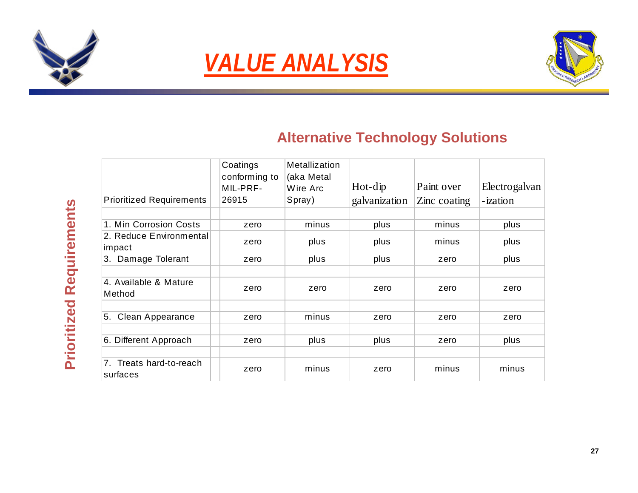





### **Alternative Technology Solutions**

| <b>Prioritized Requirements</b>        | Coatings<br>conforming to<br>MIL-PRF-<br>26915 | <b>Metallization</b><br>(aka Metal<br>Wire Arc<br>Spray) | $Hot-dip$<br>galvanization | Paint over<br>Zinc coating | Electrogalvan<br>-ization |
|----------------------------------------|------------------------------------------------|----------------------------------------------------------|----------------------------|----------------------------|---------------------------|
| 1. Min Corrosion Costs                 | zero                                           | minus                                                    | plus                       | minus                      | plus                      |
| 2. Reduce Environmental<br>impact      | zero                                           | plus                                                     | plus                       | minus                      | plus                      |
| 3. Damage Tolerant                     | zero                                           | plus                                                     | plus                       | zero                       | plus                      |
| 4. Available & Mature<br>Method        | zero                                           | zero                                                     | zero                       | zero                       | zero                      |
| 5. Clean Appearance                    | zero                                           | minus                                                    | zero                       | zero                       | zero                      |
| 6. Different Approach                  | zero                                           | plus                                                     | plus                       | zero                       | plus                      |
| Treats hard-to-reach<br>7.<br>surfaces | zero                                           | minus                                                    | zero                       | minus                      | minus                     |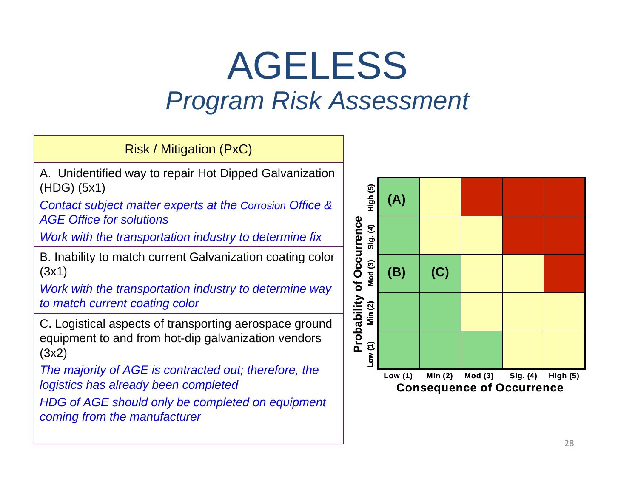# AGELESS *Program Risk Assessment*

Risk / Mitigation (PxC)

A. Unidentified way to repair Hot Dipped Galvanization (HDG) (5x1)

*Contact subject matter experts at the Corrosion Office & AGE Office for solutions*

*Work with the transportation industry to determine fix* 

B. Inability to match current Galvanization coating color (3x1)

*Work with the transportation industry to determine way to match current coating color*

C. Logistical aspects of transporting aerospace ground equipment to and from hot-dip galvanization vendors (3x2)

*The majority of AGE is contracted out; therefore, the logistics has already been completed*

*HDG of AGE should only be completed on equipment coming from the manufacturer* 

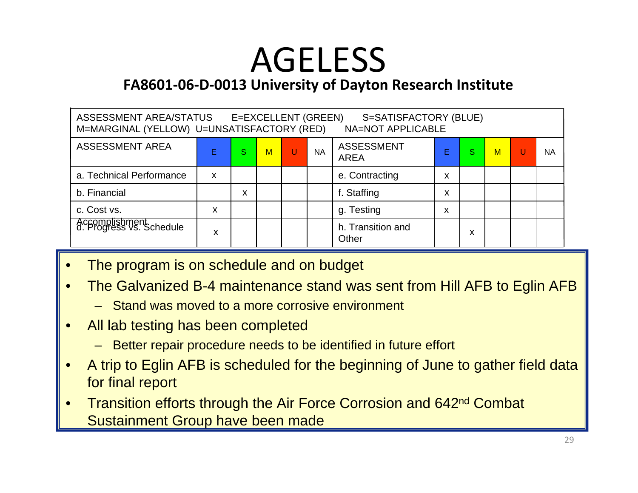# AGELESS

**FA8601‐06‐D‐0013 University of Dayton Research Institute**

| ASSESSMENT AREA/STATUS<br>E=EXCELLENT (GREEN)<br>S=SATISFACTORY (BLUE)<br>M=MARGINAL (YELLOW) U=UNSATISFACTORY (RED)<br><b>NA=NOT APPLICABLE</b> |   |   |   |   |           |                                  |   |   |             |   |           |
|--------------------------------------------------------------------------------------------------------------------------------------------------|---|---|---|---|-----------|----------------------------------|---|---|-------------|---|-----------|
| <b>ASSESSMENT AREA</b>                                                                                                                           | Е | S | M | W | <b>NA</b> | <b>ASSESSMENT</b><br><b>AREA</b> |   | S | $\mathbf M$ | U | <b>NA</b> |
| a. Technical Performance                                                                                                                         | X |   |   |   |           | e. Contracting                   | x |   |             |   |           |
| b. Financial                                                                                                                                     |   | x |   |   |           | f. Staffing                      | x |   |             |   |           |
| c. Cost vs.                                                                                                                                      | x |   |   |   |           | g. Testing                       | X |   |             |   |           |
| Accomplishment<br>d. Progress vs. Schedule                                                                                                       | x |   |   |   |           | h. Transition and<br>Other       |   | X |             |   |           |

- •The program is on schedule and on budget
- • The Galvanized B-4 maintenance stand was sent from Hill AFB to Eglin AFB
	- Stand was moved to a more corrosive environment
- • All lab testing has been completed
	- Better repair procedure needs to be identified in future effort
- • A trip to Eglin AFB is scheduled for the beginning of June to gather field data for final report
- • Transition efforts through the Air Force Corrosion and 642nd Combat Sustainment Group have been made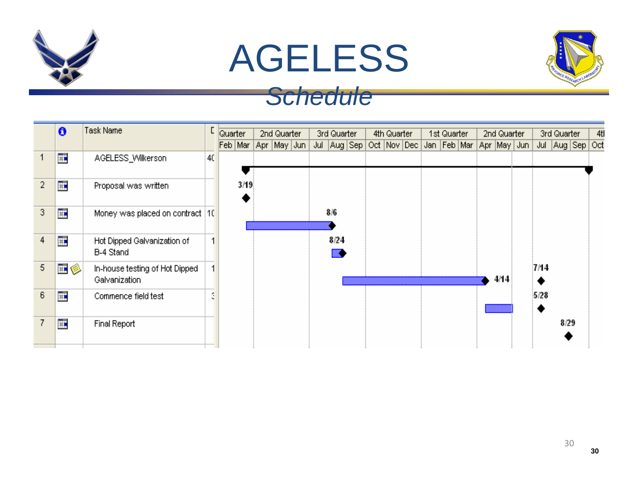

# AGELESS



### *Schedule*

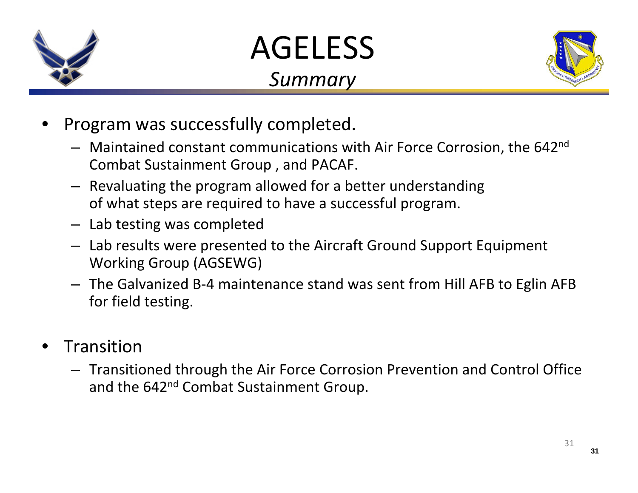

# AGELESS

### *Summary*



- • Program was successfully completed.
	- Maintained constant communications with Air Force Corrosion, the 642n<sup>d</sup> Combat Sustainment Group , and PACAF.
	- Revaluating the program allowed for <sup>a</sup> better understanding of what steps are required to have <sup>a</sup> successful program.
	- Lab testing was completed
	- Lab results were presented to the Aircraft Ground Support Equipment Working Group (AGSEWG)
	- The Galvanized B‐4 maintenance stand was sent from Hill AFB to Eglin AFB for field testing.
- • Transition
	- Transitioned through the Air Force Corrosion Prevention and Control Office and the 642<sup>nd</sup> Combat Sustainment Group.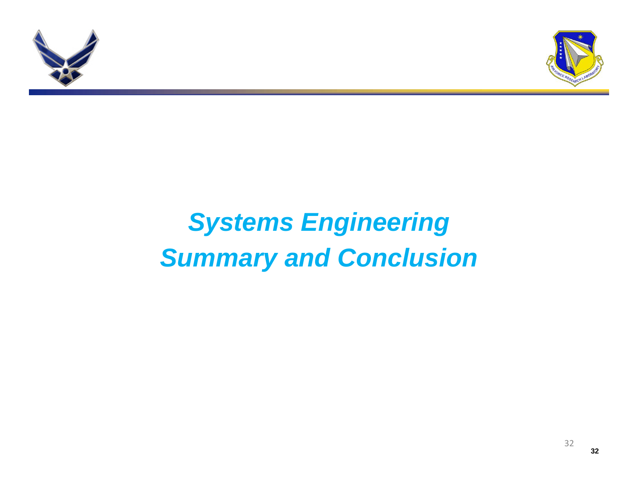



# *Systems Engineering Summary and Conclusion*